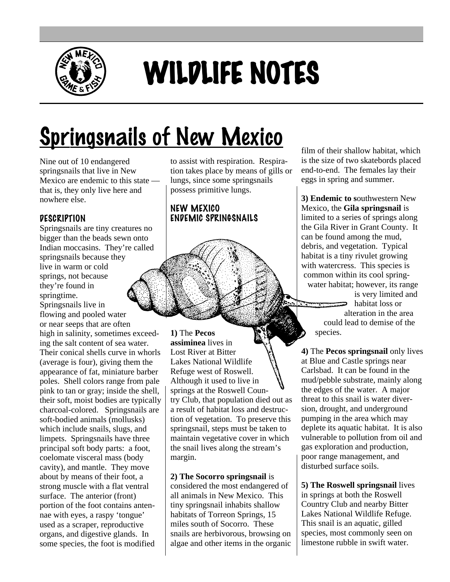

# WILDLIFE NOTES

# **Springsnails of New Mexico**

Nine out of 10 endangered springsnails that live in New Mexico are endemic to this state that is, they only live here and nowhere else.

# **DESCRIPTION**

Springsnails are tiny creatures no bigger than the beads sewn onto Indian moccasins. They're called springsnails because they live in warm or cold springs, not because they're found in springtime. Springsnails live in flowing and pooled water

or near seeps that are often high in salinity, sometimes exceeding the salt content of sea water. Their conical shells curve in whorls (average is four), giving them the appearance of fat, miniature barber poles. Shell colors range from pale pink to tan or gray; inside the shell, their soft, moist bodies are typically charcoal-colored. Springsnails are soft-bodied animals (mollusks) which include snails, slugs, and limpets. Springsnails have three principal soft body parts: a foot, coelomate visceral mass (body cavity), and mantle. They move about by means of their foot, a strong muscle with a flat ventral surface. The anterior (front) portion of the foot contains antennae with eyes, a raspy 'tongue' used as a scraper, reproductive organs, and digestive glands. In some species, the foot is modified

to assist with respiration. Respiration takes place by means of gills or lungs, since some springsnails possess primitive lungs.

### NEW MEXICO ENDEMIC SPRINGSNAILS

**1)** The **Pecos assiminea** lives in Lost River at Bitter Lakes National Wildlife Refuge west of Roswell. Although it used to live in springs at the Roswell Country Club, that population died out as a result of habitat loss and destruction of vegetation. To preserve this springsnail, steps must be taken to maintain vegetative cover in which the snail lives along the stream's margin. *Dwight Taylor*

## **2) The Socorro springsnail** is

considered the most endangered of all animals in New Mexico. This tiny springsnail inhabits shallow habitats of Torreon Springs, 15 miles south of Socorro. These snails are herbivorous, browsing on algae and other items in the organic film of their shallow habitat, which is the size of two skatebords placed end-to-end. The females lay their eggs in spring and summer.

**3) Endemic to s**outhwestern New Mexico, the **Gila springsnail** is limited to a series of springs along the Gila River in Grant County. It can be found among the mud, debris, and vegetation. Typical habitat is a tiny rivulet growing with watercress. This species is common within its cool springwater habitat; however, its range is very limited and  $\implies$  habitat loss or alteration in the area could lead to demise of the species.

**4)** The **Pecos springsnail** only lives at Blue and Castle springs near Carlsbad. It can be found in the mud/pebble substrate, mainly along the edges of the water. A major threat to this snail is water diversion, drought, and underground pumping in the area which may deplete its aquatic habitat. It is also vulnerable to pollution from oil and gas exploration and production, poor range management, and disturbed surface soils.

**5) The Roswell springsnail** lives in springs at both the Roswell Country Club and nearby Bitter Lakes National Wildlife Refuge. This snail is an aquatic, gilled species, most commonly seen on limestone rubble in swift water.